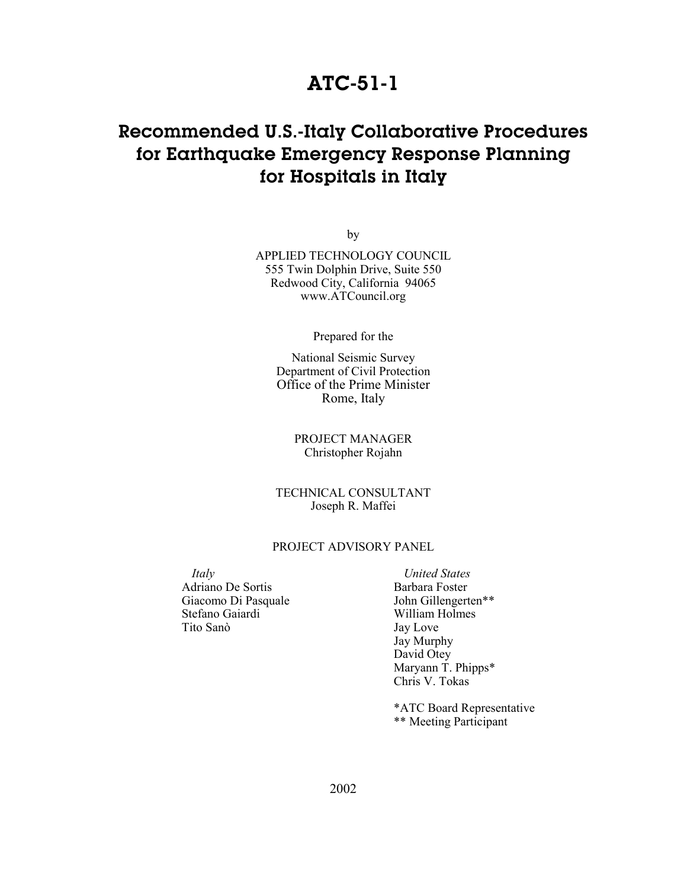### **ATC-51-1**

## **Recommended U.S.-Italy Collaborative Procedures for Earthquake Emergency Response Planning for Hospitals in Italy**

by

APPLIED TECHNOLOGY COUNCIL 555 Twin Dolphin Drive, Suite 550 Redwood City, California 94065 www.ATCouncil.org

Prepared for the

National Seismic Survey Department of Civil Protection Office of the Prime Minister Rome, Italy

> PROJECT MANAGER Christopher Rojahn

TECHNICAL CONSULTANT Joseph R. Maffei

#### PROJECT ADVISORY PANEL

*Italy* Adriano De Sortis Giacomo Di Pasquale Stefano Gaiardi Tito Sanò

*United States*  Barbara Foster John Gillengerten\*\* William Holmes Jay Love Jay Murphy David Otey Maryann T. Phipps\* Chris V. Tokas

\*ATC Board Representative \*\* Meeting Participant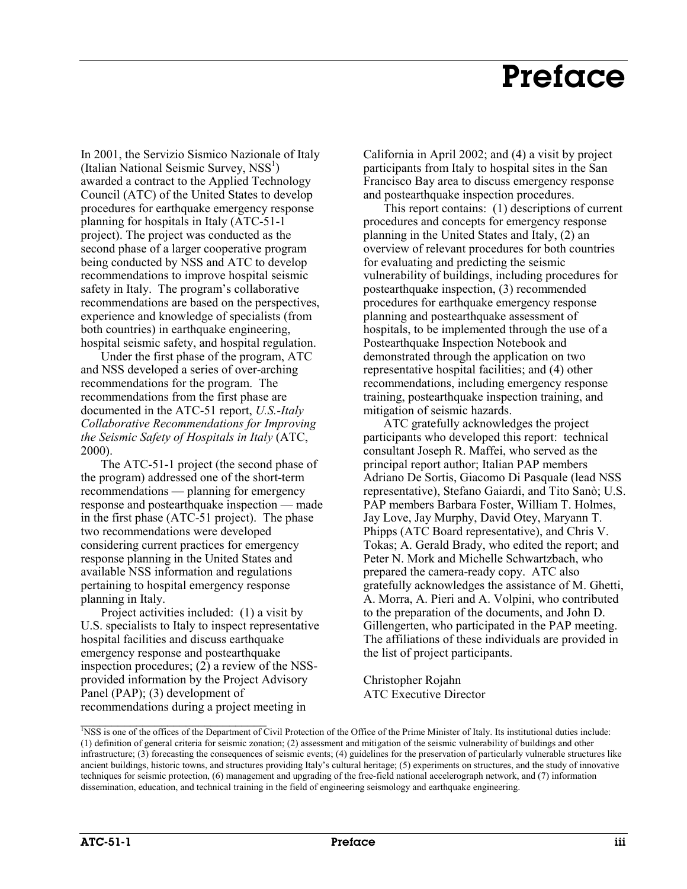## **Preface**

In 2001, the Servizio Sismico Nazionale of Italy (Italian National Seismic Survey, NSS<sup>1</sup>) awarded a contract to the Applied Technology Council (ATC) of the United States to develop procedures for earthquake emergency response planning for hospitals in Italy (ATC-51-1 project). The project was conducted as the second phase of a larger cooperative program being conducted by NSS and ATC to develop recommendations to improve hospital seismic safety in Italy. The program's collaborative recommendations are based on the perspectives, experience and knowledge of specialists (from both countries) in earthquake engineering, hospital seismic safety, and hospital regulation.

Under the first phase of the program, ATC and NSS developed a series of over-arching recommendations for the program. The recommendations from the first phase are documented in the ATC-51 report, *U.S.-Italy Collaborative Recommendations for Improving the Seismic Safety of Hospitals in Italy* (ATC, 2000).

The ATC-51-1 project (the second phase of the program) addressed one of the short-term recommendations — planning for emergency response and postearthquake inspection — made in the first phase (ATC-51 project). The phase two recommendations were developed considering current practices for emergency response planning in the United States and available NSS information and regulations pertaining to hospital emergency response planning in Italy.

Project activities included: (1) a visit by U.S. specialists to Italy to inspect representative hospital facilities and discuss earthquake emergency response and postearthquake inspection procedures; (2) a review of the NSSprovided information by the Project Advisory Panel (PAP); (3) development of recommendations during a project meeting in

 $\_$ 

California in April 2002; and (4) a visit by project participants from Italy to hospital sites in the San Francisco Bay area to discuss emergency response and postearthquake inspection procedures.

This report contains: (1) descriptions of current procedures and concepts for emergency response planning in the United States and Italy, (2) an overview of relevant procedures for both countries for evaluating and predicting the seismic vulnerability of buildings, including procedures for postearthquake inspection, (3) recommended procedures for earthquake emergency response planning and postearthquake assessment of hospitals, to be implemented through the use of a Postearthquake Inspection Notebook and demonstrated through the application on two representative hospital facilities; and (4) other recommendations, including emergency response training, postearthquake inspection training, and mitigation of seismic hazards.

ATC gratefully acknowledges the project participants who developed this report: technical consultant Joseph R. Maffei, who served as the principal report author; Italian PAP members Adriano De Sortis, Giacomo Di Pasquale (lead NSS representative), Stefano Gaiardi, and Tito Sanò; U.S. PAP members Barbara Foster, William T. Holmes, Jay Love, Jay Murphy, David Otey, Maryann T. Phipps (ATC Board representative), and Chris V. Tokas; A. Gerald Brady, who edited the report; and Peter N. Mork and Michelle Schwartzbach, who prepared the camera-ready copy. ATC also gratefully acknowledges the assistance of M. Ghetti, A. Morra, A. Pieri and A. Volpini, who contributed to the preparation of the documents, and John D. Gillengerten, who participated in the PAP meeting. The affiliations of these individuals are provided in the list of project participants.

Christopher Rojahn ATC Executive Director

<sup>&</sup>lt;sup>1</sup>NSS is one of the offices of the Department of Civil Protection of the Office of the Prime Minister of Italy. Its institutional duties include: (1) definition of general criteria for seismic zonation; (2) assessment and mitigation of the seismic vulnerability of buildings and other infrastructure; (3) forecasting the consequences of seismic events; (4) guidelines for the preservation of particularly vulnerable structures like ancient buildings, historic towns, and structures providing Italy's cultural heritage; (5) experiments on structures, and the study of innovative techniques for seismic protection, (6) management and upgrading of the free-field national accelerograph network, and (7) information dissemination, education, and technical training in the field of engineering seismology and earthquake engineering.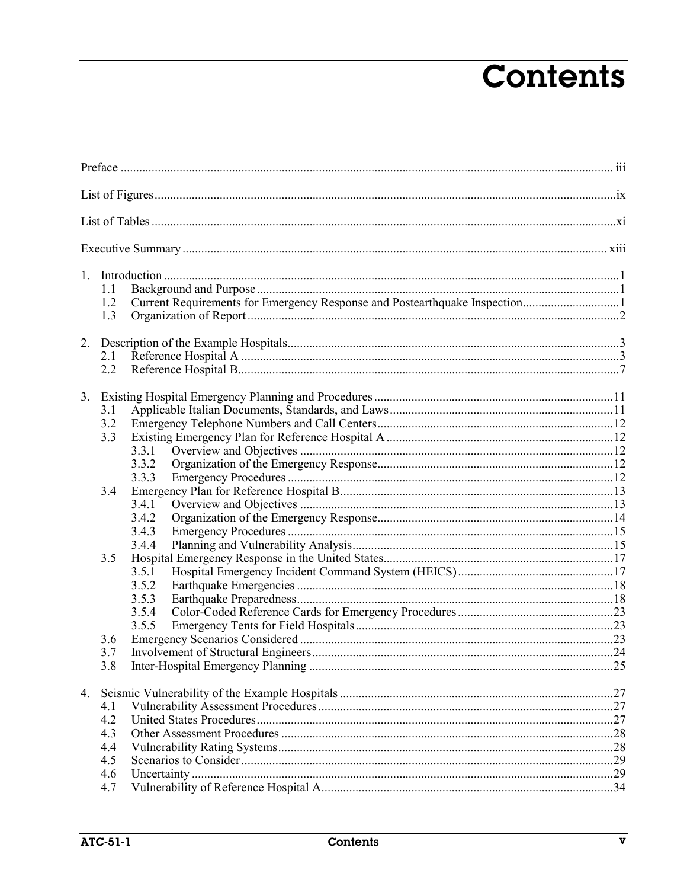# **Contents**

| 1. |            |       |  |  |  |  |
|----|------------|-------|--|--|--|--|
|    | 1.1        |       |  |  |  |  |
|    | 1.2        |       |  |  |  |  |
|    | 1.3        |       |  |  |  |  |
| 2. |            |       |  |  |  |  |
|    | 2.1        |       |  |  |  |  |
|    | 2.2        |       |  |  |  |  |
|    |            |       |  |  |  |  |
| 3. |            |       |  |  |  |  |
|    | 3.1<br>3.2 |       |  |  |  |  |
|    | 3.3        |       |  |  |  |  |
|    |            | 3.3.1 |  |  |  |  |
|    |            | 3.3.2 |  |  |  |  |
|    |            | 3.3.3 |  |  |  |  |
|    | 3.4        |       |  |  |  |  |
|    |            | 3.4.1 |  |  |  |  |
|    |            | 3.4.2 |  |  |  |  |
|    |            | 3.4.3 |  |  |  |  |
|    |            | 3.4.4 |  |  |  |  |
|    | 3.5        |       |  |  |  |  |
|    |            | 3.5.1 |  |  |  |  |
|    |            | 3.5.2 |  |  |  |  |
|    |            | 3.5.3 |  |  |  |  |
|    |            | 3.5.4 |  |  |  |  |
|    |            | 3.5.5 |  |  |  |  |
|    | 3.6        |       |  |  |  |  |
|    | 3.7        |       |  |  |  |  |
|    | 3.8        |       |  |  |  |  |
|    |            |       |  |  |  |  |
|    | 4.1        |       |  |  |  |  |
|    | 4.2        |       |  |  |  |  |
|    | 4.3        |       |  |  |  |  |
|    | 4.4        |       |  |  |  |  |
|    | 4.5        |       |  |  |  |  |
|    | 4.6        |       |  |  |  |  |
|    | 4.7        |       |  |  |  |  |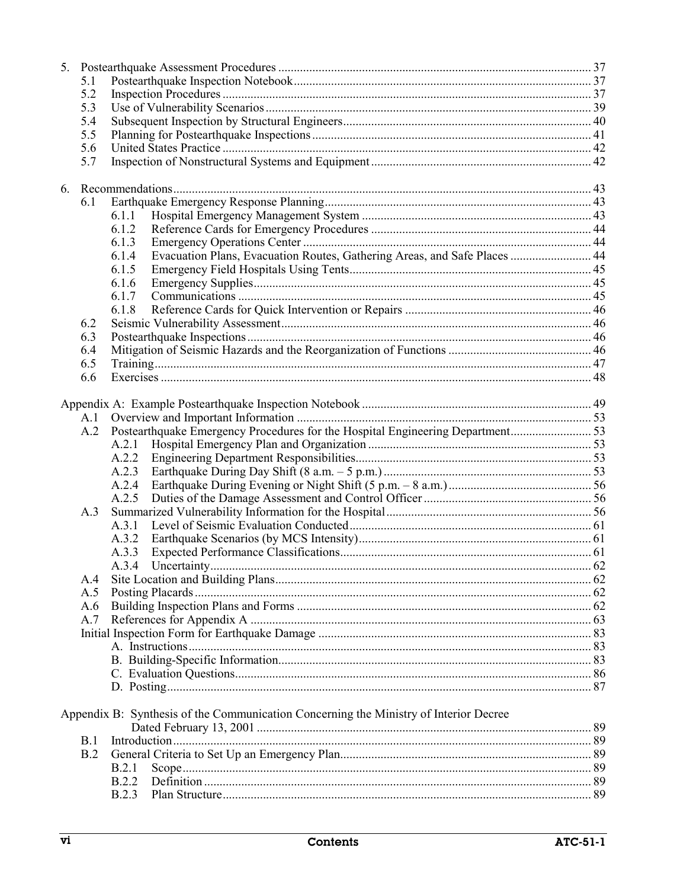| 5. |     |                                                                                       |  |  |  |
|----|-----|---------------------------------------------------------------------------------------|--|--|--|
|    | 5.1 |                                                                                       |  |  |  |
|    | 5.2 |                                                                                       |  |  |  |
|    | 5.3 |                                                                                       |  |  |  |
|    | 5.4 |                                                                                       |  |  |  |
|    | 5.5 |                                                                                       |  |  |  |
|    | 5.6 |                                                                                       |  |  |  |
|    | 5.7 |                                                                                       |  |  |  |
|    |     |                                                                                       |  |  |  |
| 6. |     |                                                                                       |  |  |  |
|    | 6.1 |                                                                                       |  |  |  |
|    |     | 6.1.1                                                                                 |  |  |  |
|    |     | 6.1.2                                                                                 |  |  |  |
|    |     | 6.1.3                                                                                 |  |  |  |
|    |     | Evacuation Plans, Evacuation Routes, Gathering Areas, and Safe Places  44<br>6.1.4    |  |  |  |
|    |     | 6.1.5                                                                                 |  |  |  |
|    |     | 6.1.6                                                                                 |  |  |  |
|    |     | 6.1.7                                                                                 |  |  |  |
|    |     |                                                                                       |  |  |  |
|    |     | 6.1.8                                                                                 |  |  |  |
|    | 6.2 |                                                                                       |  |  |  |
|    | 6.3 |                                                                                       |  |  |  |
|    | 6.4 |                                                                                       |  |  |  |
|    | 6.5 |                                                                                       |  |  |  |
|    | 6.6 |                                                                                       |  |  |  |
|    |     |                                                                                       |  |  |  |
|    |     |                                                                                       |  |  |  |
|    | A.1 |                                                                                       |  |  |  |
|    | A.2 |                                                                                       |  |  |  |
|    |     | A.2.1                                                                                 |  |  |  |
|    |     | A.2.2                                                                                 |  |  |  |
|    |     | A.2.3                                                                                 |  |  |  |
|    |     | A.2.4                                                                                 |  |  |  |
|    |     | A.2.5                                                                                 |  |  |  |
|    | A.3 |                                                                                       |  |  |  |
|    |     | A.3.1                                                                                 |  |  |  |
|    |     |                                                                                       |  |  |  |
|    |     | A.3.2                                                                                 |  |  |  |
|    |     | A.3.3                                                                                 |  |  |  |
|    |     | A.3.4                                                                                 |  |  |  |
|    | A.4 |                                                                                       |  |  |  |
|    | A.5 |                                                                                       |  |  |  |
|    | A.6 |                                                                                       |  |  |  |
|    | A.7 |                                                                                       |  |  |  |
|    |     |                                                                                       |  |  |  |
|    |     |                                                                                       |  |  |  |
|    |     |                                                                                       |  |  |  |
|    |     |                                                                                       |  |  |  |
|    |     |                                                                                       |  |  |  |
|    |     |                                                                                       |  |  |  |
|    |     | Appendix B: Synthesis of the Communication Concerning the Ministry of Interior Decree |  |  |  |
|    |     |                                                                                       |  |  |  |
|    | B.1 |                                                                                       |  |  |  |
|    |     |                                                                                       |  |  |  |
|    | B.2 |                                                                                       |  |  |  |
|    |     | B.2.1                                                                                 |  |  |  |
|    |     | B.2.2                                                                                 |  |  |  |
|    |     | B.2.3                                                                                 |  |  |  |